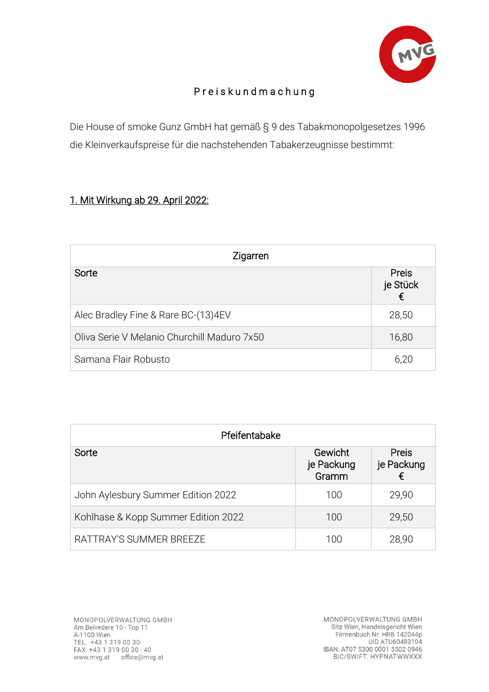

## P r e i s k u n d m a c h u n g

Die House of smoke Gunz GmbH hat gemäß § 9 des Tabakmonopolgesetzes 1996 die Kleinverkaufspreise für die nachstehenden Tabakerzeugnisse bestimmt:

## 1. Mit Wirkung ab 29. April 2022:

| Zigarren                                    |                               |  |
|---------------------------------------------|-------------------------------|--|
| Sorte                                       | <b>Preis</b><br>je Stück<br>€ |  |
| Alec Bradley Fine & Rare BC-(13)4EV         | 28,50                         |  |
| Oliva Serie V Melanio Churchill Maduro 7x50 | 16,80                         |  |
| Samana Flair Robusto                        | 6,20                          |  |

| Pfeifentabake                       |                                |                                 |  |
|-------------------------------------|--------------------------------|---------------------------------|--|
| Sorte                               | Gewicht<br>je Packung<br>Gramm | <b>Preis</b><br>je Packung<br>€ |  |
| John Aylesbury Summer Edition 2022  | 100                            | 29,90                           |  |
| Kohlhase & Kopp Summer Edition 2022 | 100                            | 29,50                           |  |
| RATTRAY'S SUMMER BREEZE             | 100                            | 28,90                           |  |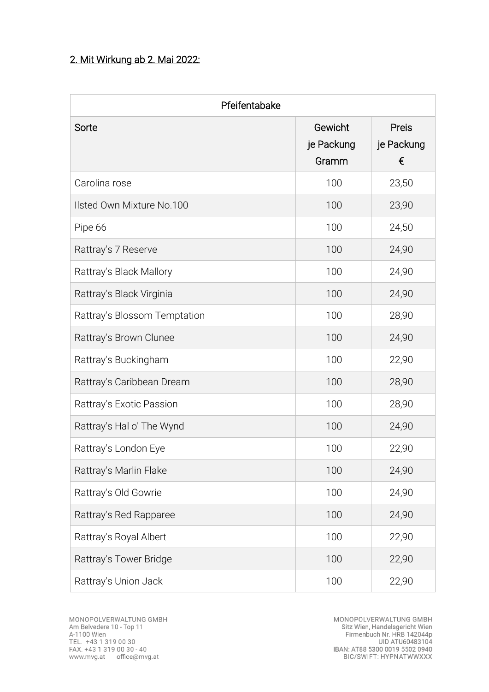## 2. Mit Wirkung ab 2. Mai 2022:

| Pfeifentabake                |                                |                          |  |
|------------------------------|--------------------------------|--------------------------|--|
| Sorte                        | Gewicht<br>je Packung<br>Gramm | Preis<br>je Packung<br>€ |  |
| Carolina rose                | 100                            | 23,50                    |  |
| Ilsted Own Mixture No.100    | 100                            | 23,90                    |  |
| Pipe 66                      | 100                            | 24,50                    |  |
| Rattray's 7 Reserve          | 100                            | 24,90                    |  |
| Rattray's Black Mallory      | 100                            | 24,90                    |  |
| Rattray's Black Virginia     | 100                            | 24,90                    |  |
| Rattray's Blossom Temptation | 100                            | 28,90                    |  |
| Rattray's Brown Clunee       | 100                            | 24,90                    |  |
| Rattray's Buckingham         | 100                            | 22,90                    |  |
| Rattray's Caribbean Dream    | 100                            | 28,90                    |  |
| Rattray's Exotic Passion     | 100                            | 28,90                    |  |
| Rattray's Hal o' The Wynd    | 100                            | 24,90                    |  |
| Rattray's London Eye         | 100                            | 22,90                    |  |
| Rattray's Marlin Flake       | 100                            | 24,90                    |  |
| Rattray's Old Gowrie         | 100                            | 24,90                    |  |
| Rattray's Red Rapparee       | 100                            | 24,90                    |  |
| Rattray's Royal Albert       | 100                            | 22,90                    |  |
| Rattray's Tower Bridge       | 100                            | 22,90                    |  |
| Rattray's Union Jack         | 100                            | 22,90                    |  |

MONOPOLVERWALTUNG GMBH<br>Sitz Wien, Handelsgericht Wien<br>Firmenbuch Nr. HRB 142044p<br>UID ATU60483104 1060463104<br>1840 1850 1840 1840 1840<br>16 16/SWIFT: HYPNATWWXXX